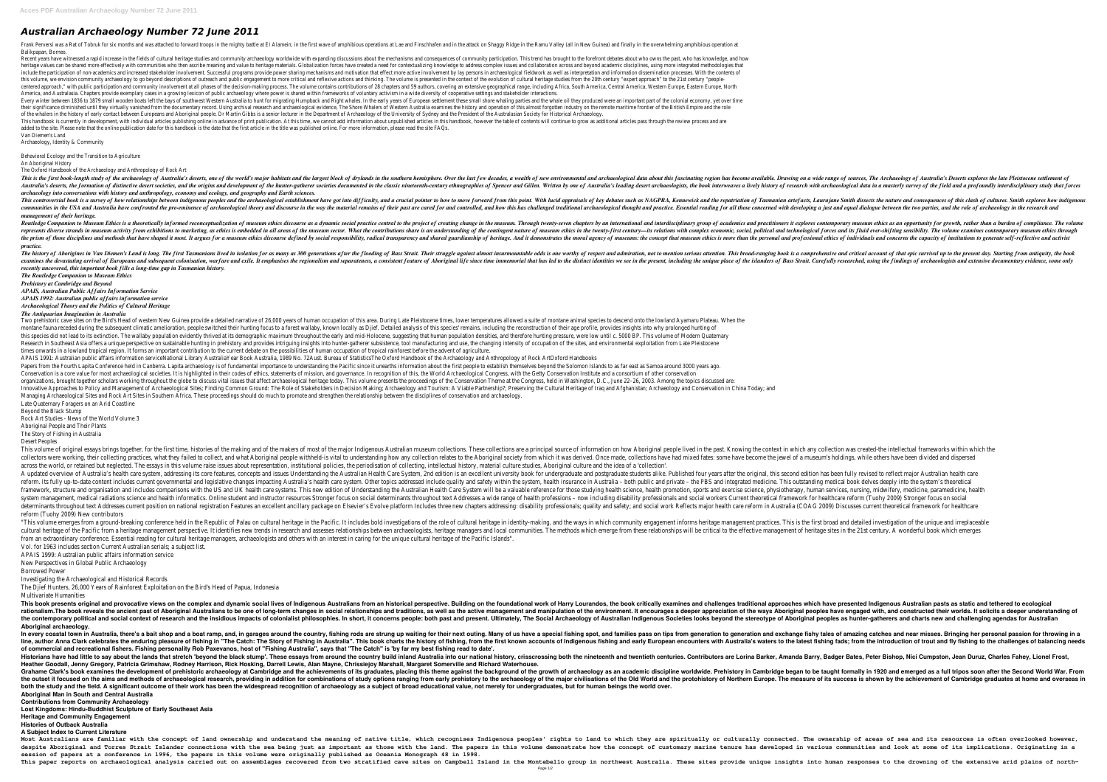## *Australian Archaeology Number 72 June 2011*

Frank Perversi was a Rat of Tobruk for six months and was attached to forward troops in the mighty battle at El Alamein; in the first wave of amphibious operations at Lae and Finschhafen and in the first wave of amphibious Balikpapan, Borneo.

Recent years have witnessed a rapid increase in the fields of cultural heritage studies and community archaeology worldwide with expanding discussions about the mechanisms and consequences of community participation. This heritage values can be shared more effectively with communities who then ascribe meaning and value to heritage materials. Globalization forces have created a need for contextualizing knowledge to address complex issues and include the participation of non-academics and increased stakeholder involvement. Successful programs provide power sharing mechanisms and motivation that effect more active involvement by lay persons in archaeological fie this volume, we envision community archaeology to go beyond descriptions of outreach and public engagement to more critical and reflexive actions and thinking. The volume is presented in the context of the evolution of cul centered approach," with public participation and community involvement at all phases of the decision-making process. The volume contains contributions of 28 chapters and 59 authors, covering an extensive geographical rang America, and Australasia. Chapters provide exemplary cases in a growing lexicon of public archaeology where power is shared within frameworks of voluntary activism in a wide diversity of cooperative settings and stakeholde Every winter between 1836 to 1879 small wooden boats left the bays of southwest Western Australia to hunt for migrating Humpback and the whale oil they produced were an important part of the colonial economy, yet over time their significance diminished until they virtually vanished from the documentary record. Using archival research and archaeological evidence, The Shore Whalers of Western Australia examines the history and operation of thi of the whalers in the history of early contact between Europeans and Aboriginal people. Dr Martin Gibbs is a senior lecturer in the Department of Archaeology of the University of Sydney and the President of the Australasia This handbook is currently in development, with individual articles publishing online in advance of print publication. At this time, we cannot add information about unpublished articles in this handbook, however the table added to the site. Please note that the online publication date for this handbook is the date that the first article in the title was published online. For more information, please read the site FAQs. Van Diemen's Land

This is the first book-length study of the archaeology of Australia's deserts, one of the world's major habitats and the largest block of drylands in the southern hemisphere. Over the last few decades, a wealth of new envi Australia's deserts, the formation of distinctive desert societies, and the origins and development of the hunter-gatherer societies documented in the classic nineteenth-century ethnographies of Spencer and Gillen. Written *archaeology into conversations with history and anthropology, economy and ecology, and geography and Earth sciences.*

This controversial book is a survey of how relationships between indigenous peoples and the archaeological establishment have got into difficulty, and a crucial pointer to how to move forward from this point. With lucid ap communities in the USA and Australia have confronted the pre-eminence of archaeological theory and discourse in the way the material remains of their past are cared for and thought and practice. Essential remains of their *management of their heritage.*

Routledge Companion to Museum Ethics is a theoretically informed reconceptualization of museum ethics discourse as a dynamic social practioners it explores contemporary museum ethics as an opportunity for growth, rather th represents diverse strands in museum activity from exhibitions to marketing, as ethics is embedded in all areas of the museum sector. What the contributions share is an understanding of the contributions share is an unders the prism of those disciplines and methods that have shaped it most. It argues for a museum ethics discourse defined by social responsibility, radical transparency and shared guardianship of heritage. And it demonstrates t *practice.*

Archaeology, Identity & Community

Behavioral Ecology and the Transition to Agriculture

An Aboriginal History

The Oxford Handbook of the Archaeology and Anthropology of Rock Art

The history of Aborigines in Van Diemen's Land is long. The first Tasmanians lived in isolation for as many as 300 generations after the flooding of Bass Strait. Their struggle against almost insurmountable odds is one wor examines the devastating arrival of Europeans and subsequent colonisation, warfare and exile. It emphasises the regionalism and separateness, a consistent feature of Aboriginal life since time immemorial that has led to th *recently uncovered, this important book fills a long-time gap in Tasmanian history. The Routledge Companion to Museum Ethics*

Two prehistoric cave sites on the Bird's Head of western New Guinea provide a detailed narrative of 26,000 years of human occupation of this area. During Late Pleistocene times, lower temperatures allowed a suite of montan montane fauna receded during the subsequent climatic amelioration, people switched their hunting focus to a forest wallaby, known locally as Djief. Detailed analysis of this species' remains, including the reconstruction o this species did not lead to its extinction. The wallaby population evidently thrived at its demographic maximum throughout the early and mid-Holocene, suggesting that human population densities, and therefore hunting pres Research in Southeast Asia offers a unique perspective on sustainable hunting in prehistory and provides intriquing insights into hunter-gatherer subsistence, tool manufacturing and use, the changing intensity of occupatio times onwards in a lowland tropical region. It forms an important contribution to the current debate on the possibilities of human occupation of tropical rainforest before the advent of agriculture. APAIS 1991: Australian public affairs information serviceNational Library AustraliaYear Book Australia, 1989 No. 72Aust. Bureau of StatisticsThe Oxford Handbook of the Archaeology and Anthropology of Rock ArtOxford Handbooks Papers from the Fourth Lapita Conference held in Canberra. Lapita archaeology is of fundamental importance to understanding the Facific since it unearths information about the first people to establish themselves beyond th Conservation is a core value for most archaeological societies. It is highlighted in their codes of ethics, statements of mission, and governance. In recognition of this, the World Archaeological Congress, with the Getty C organizations, brought together scholars working throughout the globe to discuss vital issues that affect archaeological heritage today. This volume presents the Congress, held in Washington, D.C., June 22-26, 2003. Among Innovative Approaches to Policy and Management of Archaeological Sites; Finding Common Ground: The Role of Stakeholders in Decision Making; Archaeology and Tourism: A Viable Partnership?; Preserving the Cultural Heritage o Managing Archaeological Sites and Rock Art Sites in Southern Africa. These proceedings should do much to promote and strengthen the relationship between the disciplines of conservation and archaeology. Late Quaternary Foragers on an Arid Coastline Beyond the Black Stump

This volume of original essays brings together, for the first time, histories of the making and of the makers of most of the major Indigenous Australian museum collections are a principal source of information on how Abori collectors were working, their collecting practices, what they failed to collect, and what Aboriginal people withheld-is vital to understanding how any collection relates to the Aboriginal society from which it was derived across the world, or retained but neglected. The essays in this volume raise issues about representation, institutional policies, the periodisation of collecting, intellectual history, material culture studies, Aboriginal A updated overview of Australia's health care system, addressing its core features, concepts and issues Understanding the Australian Health Care System, 2nd edition is an excellent university book for undergraduate and pos reform. Its fully up-to-date content includes current governmental and legislative changes impacting Australia's health insurance in Australia - both public and private - the PBS and integrated mere on the PBS and integrat framework, structure and organisation and includes comparisons with the US and UK health care systems. This new edition of Understanding the Australian Health Care System will be a valuable reference for those studying hea system management, medical radiations science and health informatics. Online student and instructor resources Stronger focus on social determinants throughout text Addresses a wide range of health professions - now includi determinants throughout text Addresses current position on national registration Features an excellent ancillary package on Elsevier's Evolve platform Includes three new chapters addressing: disability professionals; quali reform (Tuohy 2009) New contributors

"This volume emerges from a ground-breaking conference held in the Republic of Palau on cultural heritage in identity-making, and the ways in which community engagement informs heritage management prackless bold investigat cultural heritage of the Pacific from a heritage management perspective. It identifies new trends in research and assesses relationships between archaeologists, heritage managers and local communities. The methods which em from an extraordinary conference. Essential reading for cultural heritage managers, archaeologists and others with an interest in caring for the unique cultural heritage of the Pacific Islands". Vol. for 1963 includes section Current Australian serials; a subject list.

*Prehistory at Cambridge and Beyond*

*APAIS, Australian Public Affairs Information Service*

*APAIS 1992: Australian public affairs information service*

*Archaeological Theory and the Politics of Cultural Heritage*

*The Antiquarian Imagination in Australia*

This book presents original and provocative views on the complex and dynamic social lives of Indigenous Australians from an historical perspective. Building on the foundational approaches which have presented Indigenous Au rationalism.The book reveals the ancient past of Aboriginal Australians to be one of long-term changes in social relationships and traditions, as well as the active management and manipulation of the ways Aboriginal people the contemporary political and social context of research and the insidious impacts of colonialist philosophies. In short, it concerns people: both past and present. Ultimately, The Societies looks beyond the stereotype of **Aboriginal archaeology.**

In every coastal town in Australia, there's a bait shop and a boat ramp, and, in garages around the country, fishing rods are strung up waiting for their next outing. Many of us have a special fishing spot, and families pa line, author Anna Clark celebrates the enduring pleasure of fishing in "The Catch: The Story of Fishing in Australia". This book charts the history of fishing and early European encounters with Australia's waters to the in **of commercial and recreational fishers. Fishing personality Rob Paxevanos, host of "Fishing Australia", says that "The Catch" is 'by far my best fishing read to date'.** Historians have had little to say about the lands that stretch 'beyond the black stump'. These essays from around the country build inland Australia into our national history, crisscrossing both the nineteenth and twentiet **Heather Goodall, Jenny Gregory, Patricia Grimshaw, Rodney Harrison, Rick Hosking, Darrell Lewis, Alan Mayne, Chrissiejoy Marshall, Margaret Somerville and Richard Waterhouse.** Grahame Clark's book examines the development of prehistoric archaeology at Cambridge and the achievements of its graduates, placing this theme against the background of the growth of archaeology as an academic discipline the outset it focused on the aims and methods of archaeological research, providing in addition for combinations of study options ranging from early prehistory of Northern Europe. The measure of its success is shown by the both the study and the field. A significant outcome of their work has been the widespread recognition of archaeology as a subject of broad educational value, not merely for undergraduates, but for human beings the world ov **Aboriginal Man in South and Central Australia**

Most Australians are familiar with the concept of land ownership and understand the meaning of native title, which recognises Indigenous peoples' rights to land to which they are spiritually or culturally connected. The ow despite Aboriginal and Torres Strait Islander connections with the sea being just as important as those with the land. The papers in this volume demonstrate how the concept of customary marine tenure has developed in vario **session of papers at a conference in 1996, the papers in this volume were originally published as Oceania Monograph 48 in 1998.** This paper reports on archaeological analysis carried out on assemblages recovered from two stratified cave sites on Campbell Island in the Montebello group in northwest Australia. These sites provide unique insights into Page 1/2

Rock Art Studies - News of the World Volume 3

Aboriginal People and Their Plants

The Story of Fishing in Australia

Desert Peoples

APAIS 1999: Australian public affairs information service

New Perspectives in Global Public Archaeology

Borrowed Power

Investigating the Archaeological and Historical Records

The Djief Hunters, 26,000 Years of Rainforest Exploitation on the Bird's Head of Papua, Indonesia Multivariate Humanities

**Contributions from Community Archaeology**

**Lost Kingdoms: Hindu-Buddhist Sculpture of Early Southeast Asia**

**Heritage and Community Engagement**

**Histories of Outback Australia**

**A Subject Index to Current Literature**